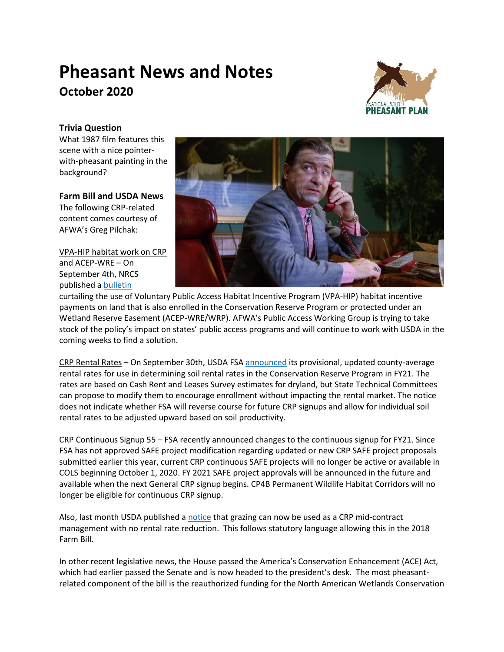# **Pheasant News and Notes October 2020**



## **Trivia Question**

What 1987 film features this scene with a nice pointerwith-pheasant painting in the background?

## **Farm Bill and USDA News**

The following CRP-related content comes courtesy of AFWA's Greg Pilchak:

VPA-HIP habitat work on CRP and ACEP-WRE – On September 4th, NRCS published a [bulletin](https://directives.sc.egov.usda.gov/ViewerFS.aspx?hid=45592)



curtailing the use of Voluntary Public Access Habitat Incentive Program (VPA-HIP) habitat incentive payments on land that is also enrolled in the Conservation Reserve Program or protected under an Wetland Reserve Easement (ACEP-WRE/WRP). AFWA's Public Access Working Group is trying to take stock of the policy's impact on states' public access programs and will continue to work with USDA in the coming weeks to find a solution.

CRP Rental Rates – On September 30th, USDA FSA [announced](https://www.fsa.usda.gov/Internet/FSA_Notice/crp_913.pdf?utm_medium=email&utm_source=govdelivery) its provisional, updated county-average rental rates for use in determining soil rental rates in the Conservation Reserve Program in FY21. The rates are based on Cash Rent and Leases Survey estimates for dryland, but State Technical Committees can propose to modify them to encourage enrollment without impacting the rental market. The notice does not indicate whether FSA will reverse course for future CRP signups and allow for individual soil rental rates to be adjusted upward based on soil productivity.

CRP Continuous Signup 55 – FSA recently announced changes to the continuous signup for FY21. Since FSA has not approved SAFE project modification regarding updated or new CRP SAFE project proposals submitted earlier this year, current CRP continuous SAFE projects will no longer be active or available in COLS beginning October 1, 2020. FY 2021 SAFE project approvals will be announced in the future and available when the next General CRP signup begins. CP4B Permanent Wildlife Habitat Corridors will no longer be eligible for continuous CRP signup.

Also, last month USDA published [a notice](https://www.fsa.usda.gov/Internet/FSA_Notice/crp_907.pdf?utm_medium=email&utm_source=govdelivery) that grazing can now be used as a CRP mid-contract management with no rental rate reduction. This follows statutory language allowing this in the 2018 Farm Bill.

In other recent legislative news, the House passed the America's Conservation Enhancement (ACE) Act, which had earlier passed the Senate and is now headed to the president's desk. The most pheasantrelated component of the bill is the reauthorized funding for the North American Wetlands Conservation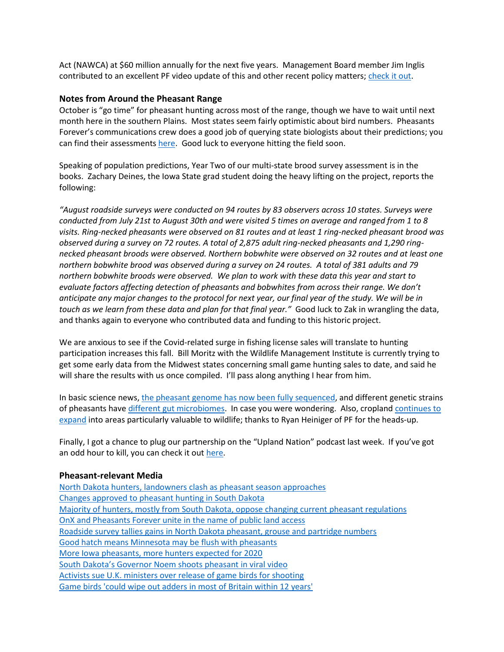Act (NAWCA) at \$60 million annually for the next five years. Management Board member Jim Inglis contributed to an excellent PF video update of this and other recent policy matters[; check it out.](https://www.youtube.com/watch?v=ssa3G5HbNbI&feature=youtu.be)

### **Notes from Around the Pheasant Range**

October is "go time" for pheasant hunting across most of the range, though we have to wait until next month here in the southern Plains. Most states seem fairly optimistic about bird numbers. Pheasants Forever's communications crew does a good job of querying state biologists about their predictions; you can find their assessments [here.](https://pheasantsforever.org/Hunt/State-Forecasts.aspx?_cldee=c3RheWxvckBwaGVhc2FudHNmb3JldmVyLm9yZw%3d%3d&recipientid=contact-b849bae7f13ee811a834000d3a37c0db-b7a299f0910c41ceb52802ec3d357aeb&esid=494fb369-cef9-ea11-a815-000d3a315106) Good luck to everyone hitting the field soon.

Speaking of population predictions, Year Two of our multi-state brood survey assessment is in the books. Zachary Deines, the Iowa State grad student doing the heavy lifting on the project, reports the following:

*"August roadside surveys were conducted on 94 routes by 83 observers across 10 states. Surveys were conducted from July 21st to August 30th and were visited 5 times on average and ranged from 1 to 8 visits. Ring-necked pheasants were observed on 81 routes and at least 1 ring-necked pheasant brood was observed during a survey on 72 routes. A total of 2,875 adult ring-necked pheasants and 1,290 ringnecked pheasant broods were observed. Northern bobwhite were observed on 32 routes and at least one northern bobwhite brood was observed during a survey on 24 routes. A total of 381 adults and 79 northern bobwhite broods were observed. We plan to work with these data this year and start to evaluate factors affecting detection of pheasants and bobwhites from across their range. We don't anticipate any major changes to the protocol for next year, our final year of the study. We will be in touch as we learn from these data and plan for that final year."* Good luck to Zak in wrangling the data, and thanks again to everyone who contributed data and funding to this historic project.

We are anxious to see if the Covid-related surge in fishing license sales will translate to hunting participation increases this fall. Bill Moritz with the Wildlife Management Institute is currently trying to get some early data from the Midwest states concerning small game hunting sales to date, and said he will share the results with us once compiled. I'll pass along anything I hear from him.

In basic science news, [the pheasant genome has now been fully sequenced,](https://pdfs.semanticscholar.org/1723/584f65c3a3aa7d528eb4bfa4708a05dde196.pdf) and different genetic strains of pheasants have [different gut microbiomes.](https://www.frontiersin.org/articles/10.3389/fgene.2020.00859/full) In case you were wondering. Also, cropland continues to [expand](https://www.nature.com/articles/s41467-020-18045-z) into areas particularly valuable to wildlife; thanks to Ryan Heiniger of PF for the heads-up.

Finally, I got a chance to plug our partnership on the "Upland Nation" podcast last week. If you've got an odd hour to kill, you can check it ou[t here.](https://play.google.com/music/listen#/ps/Iwuuou4iumd2g6lum2pjky57nhe)

### **Pheasant-relevant Media**

[North Dakota hunters, landowners clash as pheasant season approaches](https://www.duluthnewstribune.com/northland-outdoors/6675236-North-Dakota-hunters-landowners-clash-as-pheasant-season-approaches) [Changes approved to pheasant hunting in South Dakota](https://www.aberdeennews.com/farm_forum/changes-approved-to-pheasant-hunting-in-south-dakota/article_422c45c2-ef03-11ea-8f54-c729a93681bd.html) [Majority of hunters, mostly from South Dakota, oppose changing current pheasant regulations](https://www.keloland.com/news/capitol-news-bureau/majority-of-hunters-mostly-from-south-dakota-oppose-changing-current-pheasant-regulations/) [OnX and Pheasants Forever unite in the name of public land access](https://www.snewsnet.com/press-release/onx-and-pheasants-forever-unite-in-the-name-of-public-land-access) [Roadside survey tallies gains in North Dakota pheasant, grouse and partridge numbers](https://www.thedickinsonpress.com/northland-outdoors/6661019-Roadside-survey-tallies-gains-in-North-Dakota-pheasant-grouse-and-partridge-numbers) [Good hatch means Minnesota may be flush with pheasants](https://www.mankatofreepress.com/morrison-good-hatch-means-minnesota-may-be-flush-with-pheasants/article_be3e6b68-0524-11eb-ba93-77039d9c225c.html) [More Iowa pheasants, more hunters expected for 2020](https://www.thegazette.com/subject/news/iowa-more-pheasants-hunters-expected-2020-season-20200909) South Dakota's Governor [Noem shoots pheasant in viral video](https://fox28spokane.com/noem-shoots-pheasant-in-viral-video/) [Activists sue U.K. ministers over release of game birds for shooting](https://www.theguardian.com/environment/2020/sep/18/activists-sue-ministers-over-release-of-game-birds-for-shooting) [Game birds 'could wipe out adders in most of Britain within 12 years'](https://www.theguardian.com/environment/2020/oct/01/adder-extinct-across-britain-snake-threat-game-birds-release)